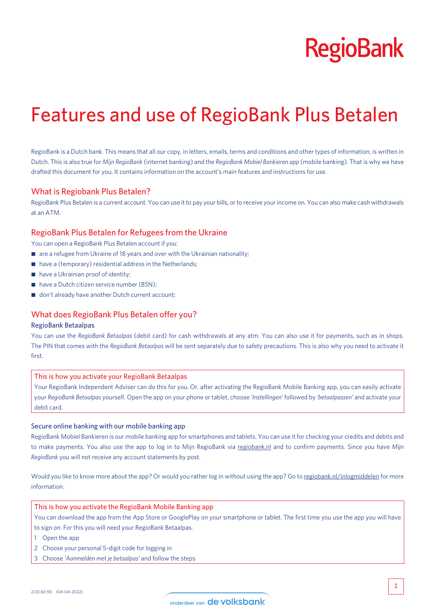# **RegioBank**

# Features and use of RegioBank Plus Betalen

RegioBank is a Dutch bank. This means that all our copy, in letters, emails, terms and conditions and other types of information, is written in Dutch. This is also true for *Mijn RegioBank* (internet banking) and the *RegioBank Mobiel Bankieren app* (mobile banking). That is why we have drafted this document for you. It contains information on the account's main features and instructions for use.

#### What is Regiobank Plus Betalen?

RegioBank Plus Betalen is a current account. You can use it to pay your bills, or to receive your income on. You can also make cash withdrawals at an ATM.

#### RegioBank Plus Betalen for Refugees from the Ukraine

You can open a RegioBank Plus Betalen account if you:

- $\blacksquare$  are a refugee from Ukraine of 18 years and over with the Ukrainian nationality;
- $\blacksquare$  have a (temporary) residential address in the Netherlands;
- have a Ukrainian proof of identity;
- have a Dutch citizen service number (BSN);
- don't already have another Dutch current account;

# What does RegioBank Plus Betalen offer you?

#### RegioBank Betaalpas

You can use the *RegioBank Betaalpas* (debit card) for cash withdrawals at any atm. You can also use it for payments, such as in shops. The PIN that comes with the *RegioBank Betaalpas* will be sent separately due to safety precautions. This is also why you need to activate it first.

#### This is how you activate your RegioBank Betaalpas

Your RegioBank Independent Adviser can do this for you. Or, after activating the RegioBank Mobile Banking app, you can easily activate your *RegioBank Betaalpas* yourself. Open the app on your phone or tablet, choose *'Instellingen'* followed by *'betaalpassen'* and activate your debit card.

#### Secure online banking with our mobile banking app

RegioBank Mobiel Bankieren is our mobile banking app for smartphones and tablets. You can use it for checking your credits and debits and to make payments. You also use the app to log in to Mijn RegioBank via [regiobank.nl](http://regiobank.nl) and to confirm payments. Since you have *Mijn RegioBank* you will not receive any account statements by post.

Would you like to know more about the app? Or would you rather log in without using the app? Go to [regiobank.nl/inlogmiddelen](http://regiobank.nl/inlogmiddelen) for more information.

#### This is how you activate the RegioBank Mobile Banking app

You can download the app from the App Store or GooglePlay on your smartphone or tablet. The first time you use the app you will have to sign on. For this you will need your RegioBank Betaalpas.

- 1 Open the app
- 2 Choose your personal 5-digit code for logging in
- 3 Choose *'Aanmelden met je betaalpas'* and follow the steps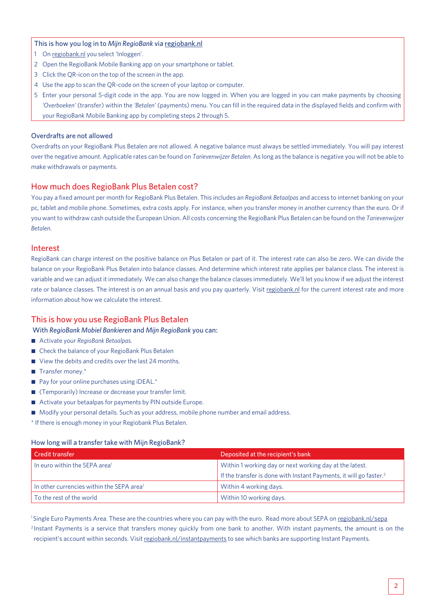#### This is how you log in to *Mijn RegioBank* via [regiobank.nl](http://regiobank.nl)

- 1 On [regiobank.nl](http://regiobank.nl) you select 'Inloggen'.
- 2 Open the RegioBank Mobile Banking app on your smartphone or tablet.
- 3 Click the QR-icon on the top of the screen in the app.
- 4 Use the app to scan the QR-code on the screen of your laptop or computer.
- 5 Enter your personal 5-digit code in the app. You are now logged in. When you are logged in you can make payments by choosing *'Overboeken'* (transfer) within the *'Betalen'* (payments) menu. You can fill in the required data in the displayed fields and confirm with your RegioBank Mobile Banking app by completing steps 2 through 5.

#### Overdrafts are not allowed

Overdrafts on your RegioBank Plus Betalen are not allowed. A negative balance must always be settled immediately. You will pay interest over the negative amount. Applicable rates can be found on *Tarievenwijzer Betalen*. As long as the balance is negative you will not be able to make withdrawals or payments.

# How much does RegioBank Plus Betalen cost?

You pay a fixed amount per month for RegioBank Plus Betalen. This includes an *RegioBank Betaalpas* and access to internet banking on your pc, tablet and mobile phone. Sometimes, extra costs apply. For instance, when you transfer money in another currency than the euro. Or if you want to withdraw cash outside the European Union. All costs concerning the RegioBank Plus Betalen can be found on the *Tarievenwijzer Betalen*.

# Interest

RegioBank can charge interest on the positive balance on Plus Betalen or part of it. The interest rate can also be zero. We can divide the balance on your RegioBank Plus Betalen into balance classes. And determine which interest rate applies per balance class. The interest is variable and we can adjust it immediately. We can also change the balance classes immediately. We'll let you know if we adjust the interest rate or balance classes. The interest is on an annual basis and you pay quarterly. Visit [regiobank.nl](http://regiobank.nl) for the current interest rate and more information about how we calculate the interest.

# This is how you use RegioBank Plus Betalen

With *RegioBank Mobiel Bankieren* and *Mijn RegioBank* you can:

- Activate your *RegioBank Betaalpas*.
- Check the balance of your RegioBank Plus Betalen
- View the debits and credits over the last 24 months.
- $\blacksquare$  Transfer money.\*
- $\blacksquare$  Pay for your online purchases using iDEAL.\*
- (Temporarily) Increase or decrease your transfer limit.
- Activate your betaalpas for payments by PIN outside Europe.
- Modify your personal details. Such as your address, mobile phone number and email address.
- \* If there is enough money in your Regiobank Plus Betalen.

# How long will a transfer take with Mijn RegioBank?

| l Credit transfer                                     | Deposited at the recipient's bank                                              |
|-------------------------------------------------------|--------------------------------------------------------------------------------|
| In euro within the SEPA area <sup>1</sup>             | Within 1 working day or next working day at the latest.                        |
|                                                       | If the transfer is done with Instant Payments, it will go faster. <sup>2</sup> |
| In other currencies within the SEPA area <sup>1</sup> | Within 4 working days.                                                         |
| To the rest of the world                              | Within 10 working days.                                                        |

1 Single Euro Payments Area. These are the countries where you can pay with the euro. Read more about SEPA on [regiobank.nl/sepa](http://regiobank.nl/sepa) <sup>2</sup> Instant Payments is a service that transfers money quickly from one bank to another. With instant payments, the amount is on the recipient's account within seconds. Visit [regiobank.nl/instantpayments](http://regiobank.nl/instantpayments) to see which banks are supporting Instant Payments.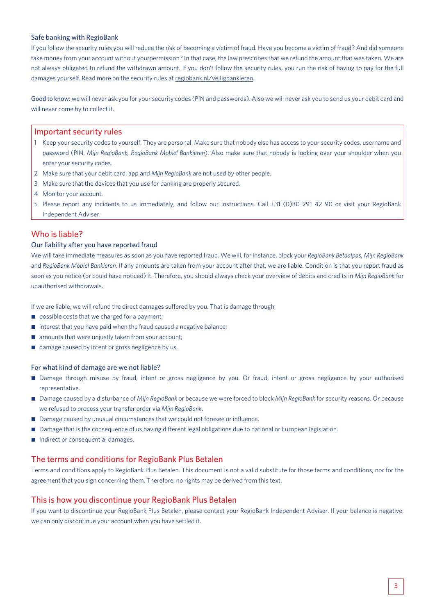#### Safe banking with RegioBank

If you follow the security rules you will reduce the risk of becoming a victim of fraud. Have you become a victim of fraud? And did someone take money from your account without yourpermission? In that case, the law prescribes that we refund the amount that was taken. We are not always obligated to refund the withdrawn amount. If you don't follow the security rules, you run the risk of having to pay for the full damages yourself. Read more on the security rules at [regiobank.nl/veiligbankieren.](http://regiobank.nl/veiligbankieren)

Good to know: we will never ask you for your security codes (PIN and passwords). Also we will never ask you to send us your debit card and will never come by to collect it.

#### Important security rules

- 1 Keep your security codes to yourself. They are personal. Make sure that nobody else has access to your security codes, username and password (PIN, *Mijn RegioBank, RegioBank Mobiel Bankieren*). Also make sure that nobody is looking over your shoulder when you enter your security codes.
- 2 Make sure that your debit card, app and *Mijn RegioBank* are not used by other people.
- 3 Make sure that the devices that you use for banking are properly secured.
- 4 Monitor your account.
- 5 Please report any incidents to us immediately, and follow our instructions. Call +31 (0)30 291 42 90 or visit your RegioBank Independent Adviser.

# Who is liable?

#### Our liability after you have reported fraud

We will take immediate measures as soon as you have reported fraud. We will, for instance, block your *RegioBank Betaalpas*, *Mijn RegioBank*  and *RegioBank Mobiel Bankieren*. If any amounts are taken from your account after that, we are liable. Condition is that you report fraud as soon as you notice (or could have noticed) it. Therefore, you should always check your overview of debits and credits in *Mijn RegioBank* for unauthorised withdrawals.

If we are liable, we will refund the direct damages suffered by you. That is damage through:

- $\Box$  possible costs that we charged for a payment;
- $\blacksquare$  interest that you have paid when the fraud caused a negative balance;
- $\blacksquare$  amounts that were unjustly taken from your account;
- damage caused by intent or gross negligence by us.

#### For what kind of damage are we not liable?

- Damage through misuse by fraud, intent or gross negligence by you. Or fraud, intent or gross negligence by your authorised representative.
- Damage caused by a disturbance of *Mijn RegioBank* or because we were forced to block *Mijn RegioBank* for security reasons. Or because we refused to process your transfer order via *Mijn RegioBank*.
- Damage caused by unusual circumstances that we could not foresee or influence.
- Damage that is the consequence of us having different legal obligations due to national or European legislation.
- Indirect or consequential damages.

# The terms and conditions for RegioBank Plus Betalen

Terms and conditions apply to RegioBank Plus Betalen. This document is not a valid substitute for those terms and conditions, nor for the agreement that you sign concerning them. Therefore, no rights may be derived from this text.

# This is how you discontinue your RegioBank Plus Betalen

If you want to discontinue your RegioBank Plus Betalen, please contact your RegioBank Independent Adviser. If your balance is negative, we can only discontinue your account when you have settled it.